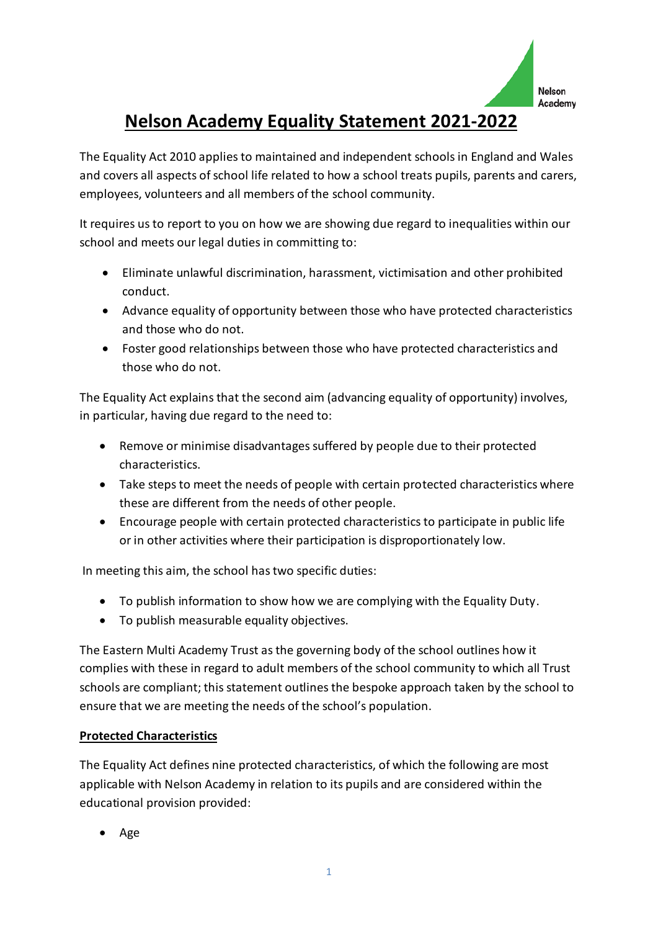

# **Nelson Academy Equality Statement 2021-2022**

The Equality Act 2010 applies to maintained and independent schools in England and Wales and covers all aspects of school life related to how a school treats pupils, parents and carers, employees, volunteers and all members of the school community.

It requires us to report to you on how we are showing due regard to inequalities within our school and meets our legal duties in committing to:

- Eliminate unlawful discrimination, harassment, victimisation and other prohibited conduct.
- Advance equality of opportunity between those who have protected characteristics and those who do not.
- Foster good relationships between those who have protected characteristics and those who do not.

The Equality Act explains that the second aim (advancing equality of opportunity) involves, in particular, having due regard to the need to:

- Remove or minimise disadvantages suffered by people due to their protected characteristics.
- Take steps to meet the needs of people with certain protected characteristics where these are different from the needs of other people.
- Encourage people with certain protected characteristics to participate in public life or in other activities where their participation is disproportionately low.

In meeting this aim, the school has two specific duties:

- To publish information to show how we are complying with the Equality Duty.
- To publish measurable equality objectives.

The Eastern Multi Academy Trust as the governing body of the school outlines how it complies with these in regard to adult members of the school community to which all Trust schools are compliant; this statement outlines the bespoke approach taken by the school to ensure that we are meeting the needs of the school's population.

# **Protected Characteristics**

The Equality Act defines nine protected characteristics, of which the following are most applicable with Nelson Academy in relation to its pupils and are considered within the educational provision provided:

• Age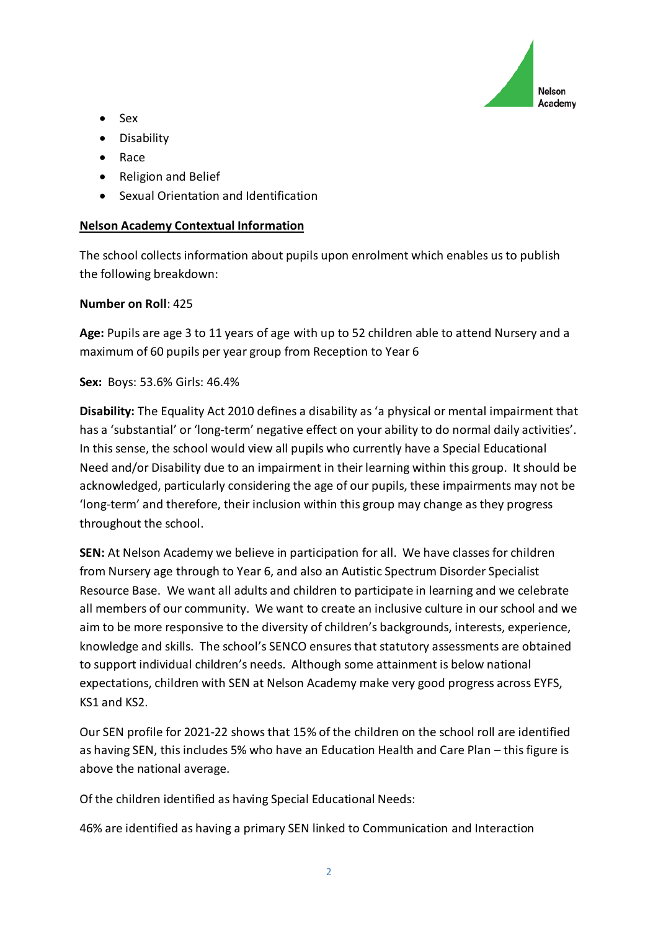

- Sex
- Disability
- Race
- Religion and Belief
- Sexual Orientation and Identification

## **Nelson Academy Contextual Information**

The school collects information about pupils upon enrolment which enables us to publish the following breakdown:

## **Number on Roll**: 425

**Age:** Pupils are age 3 to 11 years of age with up to 52 children able to attend Nursery and a maximum of 60 pupils per year group from Reception to Year 6

**Sex:** Boys: 53.6% Girls: 46.4%

**Disability:** The Equality Act 2010 defines a disability as 'a physical or mental impairment that has a 'substantial' or 'long-term' negative effect on your ability to do normal daily activities'. In this sense, the school would view all pupils who currently have a Special Educational Need and/or Disability due to an impairment in their learning within this group. It should be acknowledged, particularly considering the age of our pupils, these impairments may not be 'long-term' and therefore, their inclusion within this group may change as they progress throughout the school.

**SEN:** At Nelson Academy we believe in participation for all. We have classes for children from Nursery age through to Year 6, and also an Autistic Spectrum Disorder Specialist Resource Base. We want all adults and children to participate in learning and we celebrate all members of our community. We want to create an inclusive culture in our school and we aim to be more responsive to the diversity of children's backgrounds, interests, experience, knowledge and skills. The school's SENCO ensures that statutory assessments are obtained to support individual children's needs. Although some attainment is below national expectations, children with SEN at Nelson Academy make very good progress across EYFS, KS1 and KS2.

Our SEN profile for 2021-22 shows that 15% of the children on the school roll are identified as having SEN, this includes 5% who have an Education Health and Care Plan – this figure is above the national average.

Of the children identified as having Special Educational Needs:

46% are identified as having a primary SEN linked to Communication and Interaction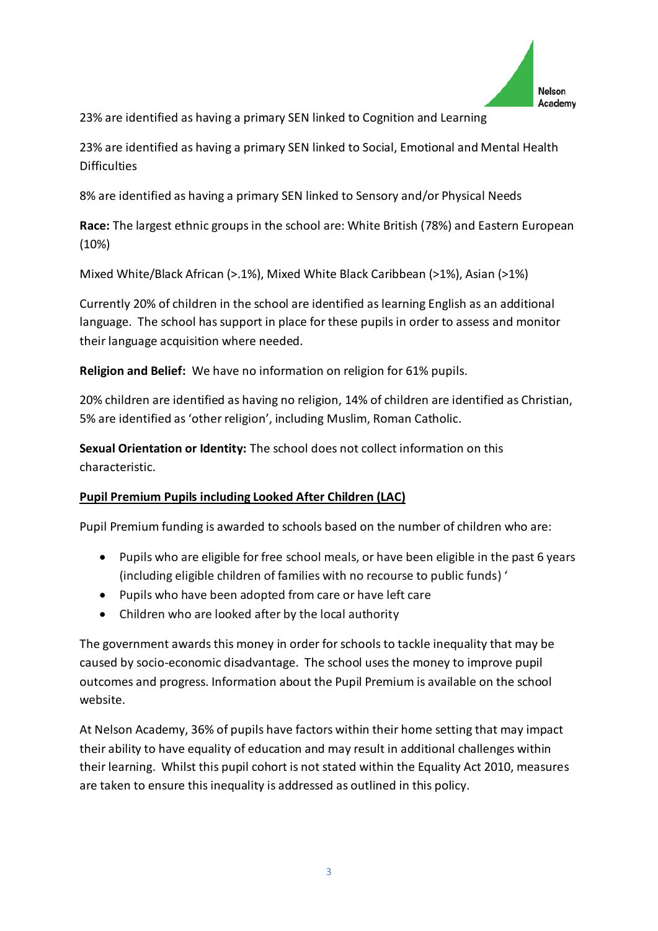

23% are identified as having a primary SEN linked to Cognition and Learning

23% are identified as having a primary SEN linked to Social, Emotional and Mental Health **Difficulties** 

8% are identified as having a primary SEN linked to Sensory and/or Physical Needs

**Race:** The largest ethnic groups in the school are: White British (78%) and Eastern European (10%)

Mixed White/Black African (>.1%), Mixed White Black Caribbean (>1%), Asian (>1%)

Currently 20% of children in the school are identified as learning English as an additional language. The school has support in place for these pupils in order to assess and monitor their language acquisition where needed.

**Religion and Belief:** We have no information on religion for 61% pupils.

20% children are identified as having no religion, 14% of children are identified as Christian, 5% are identified as 'other religion', including Muslim, Roman Catholic.

**Sexual Orientation or Identity:** The school does not collect information on this characteristic.

# **Pupil Premium Pupils including Looked After Children (LAC)**

Pupil Premium funding is awarded to schools based on the number of children who are:

- Pupils who are eligible for free school meals, or have been eligible in the past 6 years (including eligible children of families with no recourse to public funds) '
- Pupils who have been adopted from care or have left care
- Children who are looked after by the local authority

The government awards this money in order for schools to tackle inequality that may be caused by socio-economic disadvantage. The school uses the money to improve pupil outcomes and progress. Information about the Pupil Premium is available on the school website.

At Nelson Academy, 36% of pupils have factors within their home setting that may impact their ability to have equality of education and may result in additional challenges within their learning. Whilst this pupil cohort is not stated within the Equality Act 2010, measures are taken to ensure this inequality is addressed as outlined in this policy.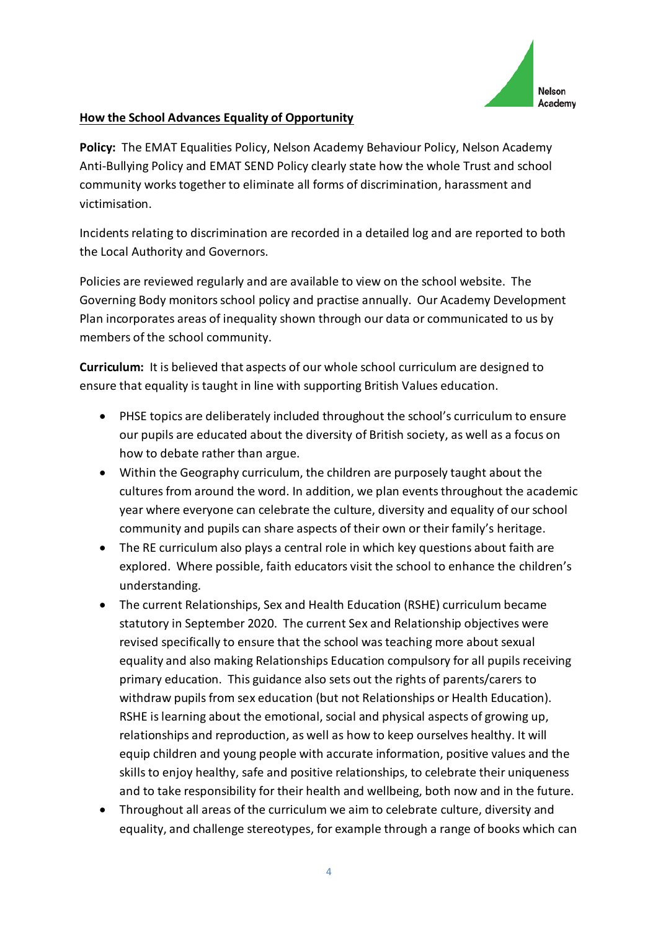

#### **How the School Advances Equality of Opportunity**

**Policy:** The EMAT Equalities Policy, Nelson Academy Behaviour Policy, Nelson Academy Anti-Bullying Policy and EMAT SEND Policy clearly state how the whole Trust and school community works together to eliminate all forms of discrimination, harassment and victimisation.

Incidents relating to discrimination are recorded in a detailed log and are reported to both the Local Authority and Governors.

Policies are reviewed regularly and are available to view on the school website. The Governing Body monitors school policy and practise annually. Our Academy Development Plan incorporates areas of inequality shown through our data or communicated to us by members of the school community.

**Curriculum:** It is believed that aspects of our whole school curriculum are designed to ensure that equality is taught in line with supporting British Values education.

- PHSE topics are deliberately included throughout the school's curriculum to ensure our pupils are educated about the diversity of British society, as well as a focus on how to debate rather than argue.
- Within the Geography curriculum, the children are purposely taught about the cultures from around the word. In addition, we plan events throughout the academic year where everyone can celebrate the culture, diversity and equality of our school community and pupils can share aspects of their own or their family's heritage.
- The RE curriculum also plays a central role in which key questions about faith are explored. Where possible, faith educators visit the school to enhance the children's understanding.
- The current Relationships, Sex and Health Education (RSHE) curriculum became statutory in September 2020. The current Sex and Relationship objectives were revised specifically to ensure that the school was teaching more about sexual equality and also making Relationships Education compulsory for all pupils receiving primary education. This guidance also sets out the rights of parents/carers to withdraw pupils from sex education (but not Relationships or Health Education). RSHE is learning about the emotional, social and physical aspects of growing up, relationships and reproduction, as well as how to keep ourselves healthy. It will equip children and young people with accurate information, positive values and the skills to enjoy healthy, safe and positive relationships, to celebrate their uniqueness and to take responsibility for their health and wellbeing, both now and in the future.
- Throughout all areas of the curriculum we aim to celebrate culture, diversity and equality, and challenge stereotypes, for example through a range of books which can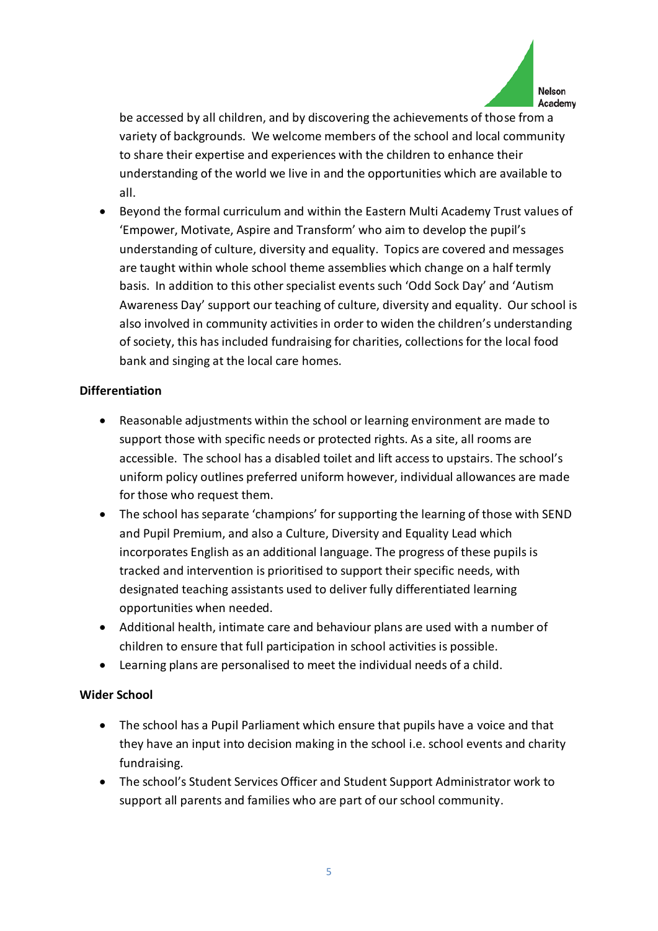

be accessed by all children, and by discovering the achievements of those from a variety of backgrounds. We welcome members of the school and local community to share their expertise and experiences with the children to enhance their understanding of the world we live in and the opportunities which are available to all.

• Beyond the formal curriculum and within the Eastern Multi Academy Trust values of 'Empower, Motivate, Aspire and Transform' who aim to develop the pupil's understanding of culture, diversity and equality. Topics are covered and messages are taught within whole school theme assemblies which change on a half termly basis. In addition to this other specialist events such 'Odd Sock Day' and 'Autism Awareness Day' support our teaching of culture, diversity and equality. Our school is also involved in community activities in order to widen the children's understanding of society, this has included fundraising for charities, collections for the local food bank and singing at the local care homes.

#### **Differentiation**

- Reasonable adjustments within the school or learning environment are made to support those with specific needs or protected rights. As a site, all rooms are accessible. The school has a disabled toilet and lift access to upstairs. The school's uniform policy outlines preferred uniform however, individual allowances are made for those who request them.
- The school has separate 'champions' for supporting the learning of those with SEND and Pupil Premium, and also a Culture, Diversity and Equality Lead which incorporates English as an additional language. The progress of these pupils is tracked and intervention is prioritised to support their specific needs, with designated teaching assistants used to deliver fully differentiated learning opportunities when needed.
- Additional health, intimate care and behaviour plans are used with a number of children to ensure that full participation in school activities is possible.
- Learning plans are personalised to meet the individual needs of a child.

#### **Wider School**

- The school has a Pupil Parliament which ensure that pupils have a voice and that they have an input into decision making in the school i.e. school events and charity fundraising.
- The school's Student Services Officer and Student Support Administrator work to support all parents and families who are part of our school community.